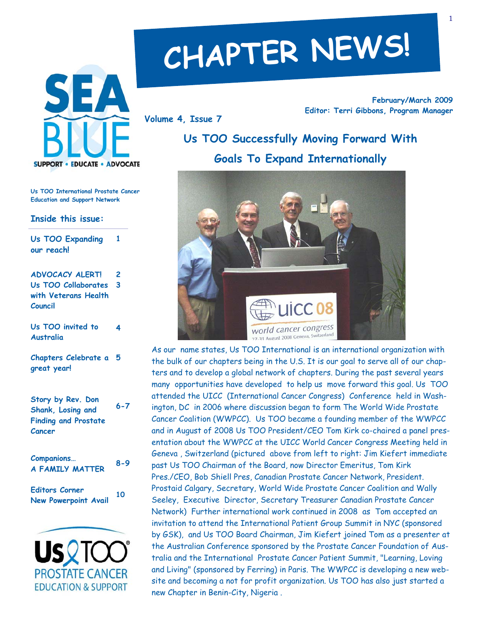

#### **Us TOO International Prostate Cancer Education and Support Network**

**1** 

**4** 

**Inside this issue:** 

**Us TOO Expanding our reach!** 

**ADVOCACY ALERT! Us TOO Collaborates with Veterans Health Council 2 3** 

**Us TOO invited to Australia** 

**Chapters Celebrate a 5 great year!** 

**Story by Rev. Don Shank, Losing and Finding and Prostate Cancer 6-7** 

**Companions… A FAMILY MATTER 8-9** 

**Editors Corner New Powerpoint Avail 10** 

**PROSTATE CANCER EDUCATION & SUPPORT** 

# **CHAPTER NEWS!**

**Volume 4, Issue 7** 

**February/March 2009 Editor: Terri Gibbons, Program Manager** 

# **Us TOO Successfully Moving Forward With Goals To Expand Internationally**



As our name states, Us TOO International is an international organization with the bulk of our chapters being in the U.S. It is our goal to serve all of our chapters and to develop a global network of chapters. During the past several years many opportunities have developed to help us move forward this goal. Us TOO attended the UICC (International Cancer Congress) Conference held in Washington, DC in 2006 where discussion began to form The World Wide Prostate Cancer Coalition (WWPCC). Us TOO became a founding member of the WWPCC and in August of 2008 Us TOO President/CEO Tom Kirk co-chaired a panel presentation about the WWPCC at the UICC World Cancer Congress Meeting held in Geneva , Switzerland (pictured above from left to right: Jim Kiefert immediate past Us TOO Chairman of the Board, now Director Emeritus, Tom Kirk Pres./CEO, Bob Shiell Pres, Canadian Prostate Cancer Network, President. Prostaid Calgary, Secretary, World Wide Prostate Cancer Coalition and Wally Seeley, Executive Director, Secretary Treasurer Canadian Prostate Cancer Network) Further international work continued in 2008 as Tom accepted an invitation to attend the International Patient Group Summit in NYC (sponsored by GSK), and Us TOO Board Chairman, Jim Kiefert joined Tom as a presenter at the Australian Conference sponsored by the Prostate Cancer Foundation of Australia and the International Prostate Cancer Patient Summit, "Learning, Loving and Living" (sponsored by Ferring) in Paris. The WWPCC is developing a new website and becoming a not for profit organization. Us TOO has also just started a new Chapter in Benin-City, Nigeria .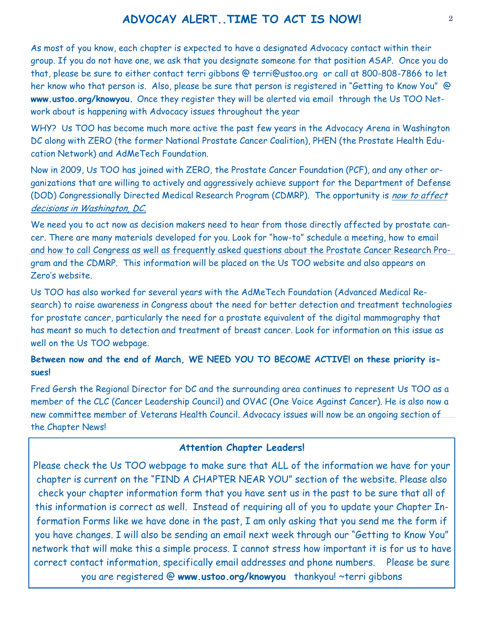#### **ADVOCAY ALERT..TIME TO ACT IS NOW!** <sup>2</sup>

As most of you know, each chapter is expected to have a designated Advocacy contact within their group. If you do not have one, we ask that you designate someone for that position ASAP. Once you do that, please be sure to either contact terri gibbons @ terri@ustoo.org or call at 800-808-7866 to let her know who that person is. Also, please be sure that person is registered in "Getting to Know You" @ **www.ustoo.org/knowyou.** Once they register they will be alerted via email through the Us TOO Network about is happening with Advocacy issues throughout the year

WHY? Us TOO has become much more active the past few years in the Advocacy Arena in Washington DC along with ZERO (the former National Prostate Cancer Coalition), PHEN (the Prostate Health Education Network) and AdMeTech Foundation.

Now in 2009, Us TOO has joined with ZERO, the Prostate Cancer Foundation (PCF), and any other organizations that are willing to actively and aggressively achieve support for the Department of Defense (DOD) Congressionally Directed Medical Research Program (CDMRP). The opportunity is now to affect decisions in Washington, DC.

We need you to act now as decision makers need to hear from those directly affected by prostate cancer. There are many materials developed for you. Look for "how-to" schedule a meeting, how to email and how to call Congress as well as frequently asked questions about the Prostate Cancer Research Program and the CDMRP. This information will be placed on the Us TOO website and also appears on Zero's website.

Us TOO has also worked for several years with the AdMeTech Foundation (Advanced Medical Research) to raise awareness in Congress about the need for better detection and treatment technologies for prostate cancer, particularly the need for a prostate equivalent of the digital mammography that has meant so much to detection and treatment of breast cancer. Look for information on this issue as well on the Us TOO webpage.

#### **Between now and the end of March, WE NEED YOU TO BECOME ACTIVE! on these priority issues!**

Fred Gersh the Regional Director for DC and the surrounding area continues to represent Us TOO as a member of the CLC (Cancer Leadership Council) and OVAC (One Voice Against Cancer). He is also now a new committee member of Veterans Health Council. Advocacy issues will now be an ongoing section of the Chapter News!

#### **Attention Chapter Leaders!**

Please check the Us TOO webpage to make sure that ALL of the information we have for your chapter is current on the "FIND A CHAPTER NEAR YOU" section of the website. Please also check your chapter information form that you have sent us in the past to be sure that all of this information is correct as well. Instead of requiring all of you to update your Chapter Information Forms like we have done in the past, I am only asking that you send me the form if you have changes. I will also be sending an email next week through our "Getting to Know You" network that will make this a simple process. I cannot stress how important it is for us to have correct contact information, specifically email addresses and phone numbers. Please be sure you are registered @ **www.ustoo.org/knowyou** thankyou! ~terri gibbons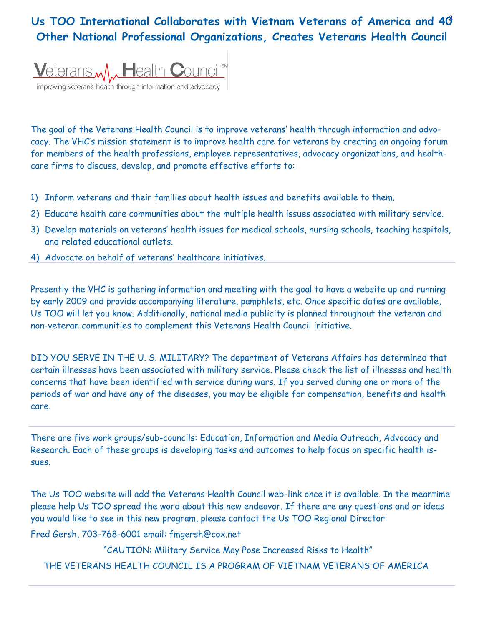### <sup>3</sup>**Us TOO International Collaborates with Vietnam Veterans of America and 40 Other National Professional Organizations, Creates Veterans Health Council**



improving veterans health through information and advocacy

The goal of the Veterans Health Council is to improve veterans' health through information and advocacy. The VHC's mission statement is to improve health care for veterans by creating an ongoing forum for members of the health professions, employee representatives, advocacy organizations, and healthcare firms to discuss, develop, and promote effective efforts to:

- 1) Inform veterans and their families about health issues and benefits available to them.
- 2) Educate health care communities about the multiple health issues associated with military service.
- 3) Develop materials on veterans' health issues for medical schools, nursing schools, teaching hospitals, and related educational outlets.
- 4) Advocate on behalf of veterans' healthcare initiatives.

Presently the VHC is gathering information and meeting with the goal to have a website up and running by early 2009 and provide accompanying literature, pamphlets, etc. Once specific dates are available, Us TOO will let you know. Additionally, national media publicity is planned throughout the veteran and non-veteran communities to complement this Veterans Health Council initiative.

DID YOU SERVE IN THE U. S. MILITARY? The department of Veterans Affairs has determined that certain illnesses have been associated with military service. Please check the list of illnesses and health concerns that have been identified with service during wars. If you served during one or more of the periods of war and have any of the diseases, you may be eligible for compensation, benefits and health care.

There are five work groups/sub-councils: Education, Information and Media Outreach, Advocacy and Research. Each of these groups is developing tasks and outcomes to help focus on specific health issues.

The Us TOO website will add the Veterans Health Council web-link once it is available. In the meantime please help Us TOO spread the word about this new endeavor. If there are any questions and or ideas you would like to see in this new program, please contact the Us TOO Regional Director:

Fred Gersh, 703-768-6001 email: fmgersh@cox.net

 "CAUTION: Military Service May Pose Increased Risks to Health" THE VETERANS HEALTH COUNCIL IS A PROGRAM OF VIETNAM VETERANS OF AMERICA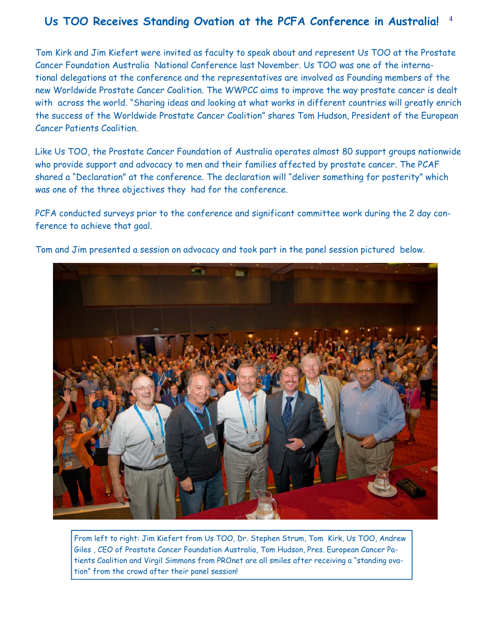#### 4 **Us TOO Receives Standing Ovation at the PCFA Conference in Australia!**

Tom Kirk and Jim Kiefert were invited as faculty to speak about and represent Us TOO at the Prostate Cancer Foundation Australia National Conference last November. Us TOO was one of the international delegations at the conference and the representatives are involved as Founding members of the new Worldwide Prostate Cancer Coalition. The WWPCC aims to improve the way prostate cancer is dealt with across the world. "Sharing ideas and looking at what works in different countries will greatly enrich the success of the Worldwide Prostate Cancer Coalition" shares Tom Hudson, President of the European Cancer Patients Coalition.

Like Us TOO, the Prostate Cancer Foundation of Australia operates almost 80 support groups nationwide who provide support and advocacy to men and their families affected by prostate cancer. The PCAF shared a "Declaration" at the conference. The declaration will "deliver something for posterity" which was one of the three objectives they had for the conference.

PCFA conducted surveys prior to the conference and significant committee work during the 2 day conference to achieve that goal.



Tom and Jim presented a session on advocacy and took part in the panel session pictured below.

From left to right: Jim Kiefert from Us TOO, Dr. Stephen Strum, Tom Kirk, Us TOO, Andrew Giles , CEO of Prostate Cancer Foundation Australia, Tom Hudson, Pres. European Cancer Patients Coalition and Virgil Simmons from PROnet are all smiles after receiving a "standing ovation" from the crowd after their panel session!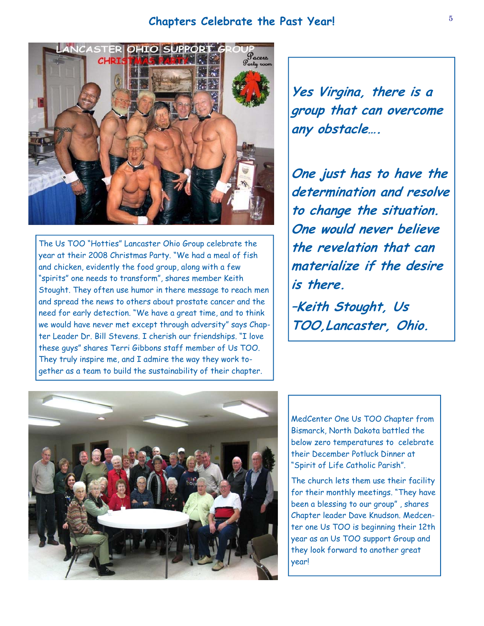#### <sup>5</sup>**Chapters Celebrate the Past Year!**



The Us TOO "Hotties" Lancaster Ohio Group celebrate the year at their 2008 Christmas Party. "We had a meal of fish and chicken, evidently the food group, along with a few "spirits" one needs to transform", shares member Keith Stought. They often use humor in there message to reach men and spread the news to others about prostate cancer and the need for early detection. "We have a great time, and to think we would have never met except through adversity" says Chapter Leader Dr. Bill Stevens. I cherish our friendships. "I love these guys" shares Terri Gibbons staff member of Us TOO. They truly inspire me, and I admire the way they work together as a team to build the sustainability of their chapter.

**Yes Virgina, there is a group that can overcome any obstacle….** 

**One just has to have the determination and resolve to change the situation. One would never believe the revelation that can materialize if the desire is there.** 

**–Keith Stought, Us TOO,Lancaster, Ohio.** 



MedCenter One Us TOO Chapter from Bismarck, North Dakota battled the below zero temperatures to celebrate their December Potluck Dinner at "Spirit of Life Catholic Parish".

The church lets them use their facility for their monthly meetings. "They have been a blessing to our group" , shares Chapter leader Dave Knudson. Medcenter one Us TOO is beginning their 12th year as an Us TOO support Group and they look forward to another great year!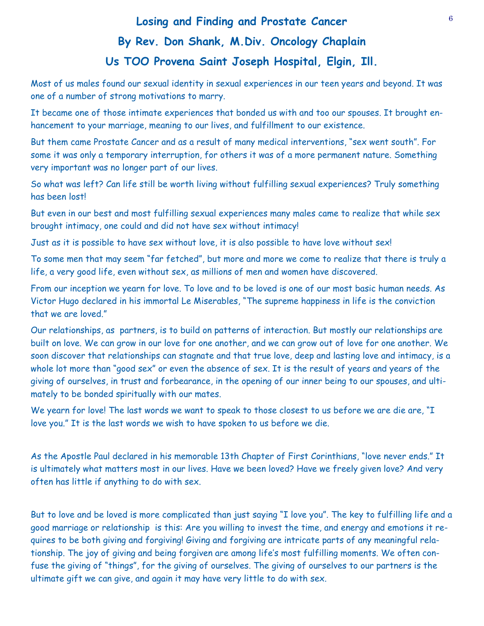## <sup>6</sup>**Losing and Finding and Prostate Cancer By Rev. Don Shank, M.Div. Oncology Chaplain Us TOO Provena Saint Joseph Hospital, Elgin, Ill.**

Most of us males found our sexual identity in sexual experiences in our teen years and beyond. It was one of a number of strong motivations to marry.

It became one of those intimate experiences that bonded us with and too our spouses. It brought enhancement to your marriage, meaning to our lives, and fulfillment to our existence.

But them came Prostate Cancer and as a result of many medical interventions, "sex went south". For some it was only a temporary interruption, for others it was of a more permanent nature. Something very important was no longer part of our lives.

So what was left? Can life still be worth living without fulfilling sexual experiences? Truly something has been lost!

But even in our best and most fulfilling sexual experiences many males came to realize that while sex brought intimacy, one could and did not have sex without intimacy!

Just as it is possible to have sex without love, it is also possible to have love without sex!

To some men that may seem "far fetched", but more and more we come to realize that there is truly a life, a very good life, even without sex, as millions of men and women have discovered.

From our inception we yearn for love. To love and to be loved is one of our most basic human needs. As Victor Hugo declared in his immortal Le Miserables, "The supreme happiness in life is the conviction that we are loved."

Our relationships, as partners, is to build on patterns of interaction. But mostly our relationships are built on love. We can grow in our love for one another, and we can grow out of love for one another. We soon discover that relationships can stagnate and that true love, deep and lasting love and intimacy, is a whole lot more than "good sex" or even the absence of sex. It is the result of years and years of the giving of ourselves, in trust and forbearance, in the opening of our inner being to our spouses, and ultimately to be bonded spiritually with our mates.

We yearn for love! The last words we want to speak to those closest to us before we are die are, "I love you." It is the last words we wish to have spoken to us before we die.

As the Apostle Paul declared in his memorable 13th Chapter of First Corinthians, "love never ends." It is ultimately what matters most in our lives. Have we been loved? Have we freely given love? And very often has little if anything to do with sex.

But to love and be loved is more complicated than just saying "I love you". The key to fulfilling life and a good marriage or relationship is this: Are you willing to invest the time, and energy and emotions it requires to be both giving and forgiving! Giving and forgiving are intricate parts of any meaningful relationship. The joy of giving and being forgiven are among life's most fulfilling moments. We often confuse the giving of "things", for the giving of ourselves. The giving of ourselves to our partners is the ultimate gift we can give, and again it may have very little to do with sex.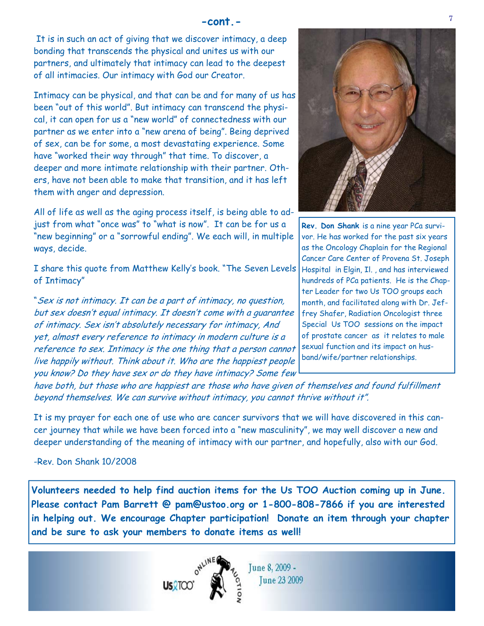It is in such an act of giving that we discover intimacy, a deep bonding that transcends the physical and unites us with our partners, and ultimately that intimacy can lead to the deepest of all intimacies. Our intimacy with God our Creator.

Intimacy can be physical, and that can be and for many of us has been "out of this world". But intimacy can transcend the physical, it can open for us a "new world" of connectedness with our partner as we enter into a "new arena of being". Being deprived of sex, can be for some, a most devastating experience. Some have "worked their way through" that time. To discover, a deeper and more intimate relationship with their partner. Others, have not been able to make that transition, and it has left them with anger and depression.

All of life as well as the aging process itself, is being able to adjust from what "once was" to "what is now". It can be for us a "new beginning" or a "sorrowful ending". We each will, in multiple ways, decide.

I share this quote from Matthew Kelly's book. "The Seven Levels of Intimacy"

"Sex is not intimacy. It can be a part of intimacy, no question, but sex doesn't equal intimacy. It doesn't come with a guarantee of intimacy. Sex isn't absolutely necessary for intimacy, And yet, almost every reference to intimacy in modern culture is a reference to sex. Intimacy is the one thing that a person cannot live happily without. Think about it. Who are the happiest people you know? Do they have sex or do they have intimacy? Some few



**Rev. Don Shank** is a nine year PCa survivor. He has worked for the past six years as the Oncology Chaplain for the Regional Cancer Care Center of Provena St. Joseph Hospital in Elgin, Il. , and has interviewed hundreds of PCa patients. He is the Chapter Leader for two Us TOO groups each month, and facilitated along with Dr. Jeffrey Shafer, Radiation Oncologist three Special Us TOO sessions on the impact of prostate cancer as it relates to male sexual function and its impact on husband/wife/partner relationships.

have both, but those who are happiest are those who have given of themselves and found fulfillment beyond themselves. We can survive without intimacy, you cannot thrive without it".

It is my prayer for each one of use who are cancer survivors that we will have discovered in this cancer journey that while we have been forced into a "new masculinity", we may well discover a new and deeper understanding of the meaning of intimacy with our partner, and hopefully, also with our God.

-Rev. Don Shank 10/2008

**Volunteers needed to help find auction items for the Us TOO Auction coming up in June. Please contact Pam Barrett @ pam@ustoo.org or 1-800-808-7866 if you are interested in helping out. We encourage Chapter participation! Donate an item through your chapter and be sure to ask your members to donate items as well!** 



June 8, 2009 -**Tune 23 2009**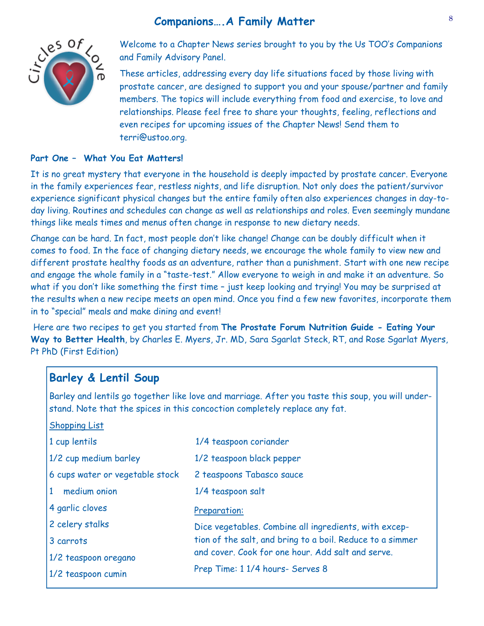#### **Companions….A Family Matter**



Welcome to a Chapter News series brought to you by the Us TOO's Companions and Family Advisory Panel.

These articles, addressing every day life situations faced by those living with prostate cancer, are designed to support you and your spouse/partner and family members. The topics will include everything from food and exercise, to love and relationships. Please feel free to share your thoughts, feeling, reflections and even recipes for upcoming issues of the Chapter News! Send them to terri@ustoo.org.

#### **Part One – What You Eat Matters!**

It is no great mystery that everyone in the household is deeply impacted by prostate cancer. Everyone in the family experiences fear, restless nights, and life disruption. Not only does the patient/survivor experience significant physical changes but the entire family often also experiences changes in day-today living. Routines and schedules can change as well as relationships and roles. Even seemingly mundane things like meals times and menus often change in response to new dietary needs.

Change can be hard. In fact, most people don't like change! Change can be doubly difficult when it comes to food. In the face of changing dietary needs, we encourage the whole family to view new and different prostate healthy foods as an adventure, rather than a punishment. Start with one new recipe and engage the whole family in a "taste-test." Allow everyone to weigh in and make it an adventure. So what if you don't like something the first time – just keep looking and trying! You may be surprised at the results when a new recipe meets an open mind. Once you find a few new favorites, incorporate them in to "special" meals and make dining and event!

 Here are two recipes to get you started from **The Prostate Forum Nutrition Guide - Eating Your**  Way to Better Health, by Charles E. Myers, Jr. MD, Sara Sgarlat Steck, RT, and Rose Sgarlat Myers, Pt PhD (First Edition)

#### **Barley & Lentil Soup**

Barley and lentils go together like love and marriage. After you taste this soup, you will understand. Note that the spices in this concoction completely replace any fat.

Shopping List

| 1 cup lentils                   | 1/4 teaspoon coriander                                    |
|---------------------------------|-----------------------------------------------------------|
| 1/2 cup medium barley           | 1/2 teaspoon black pepper                                 |
| 6 cups water or vegetable stock | 2 teaspoons Tabasco sauce                                 |
| 1<br>medium onion               | 1/4 teaspoon salt                                         |
| 4 garlic cloves                 | Preparation:                                              |
| 2 celery stalks                 | Dice vegetables. Combine all ingredients, with excep-     |
| 3 carrots                       | tion of the salt, and bring to a boil. Reduce to a simmer |
| 1/2 teaspoon oregano            | and cover. Cook for one hour. Add salt and serve.         |
| 1/2 teaspoon cumin              | Prep Time: 1 1/4 hours- Serves 8                          |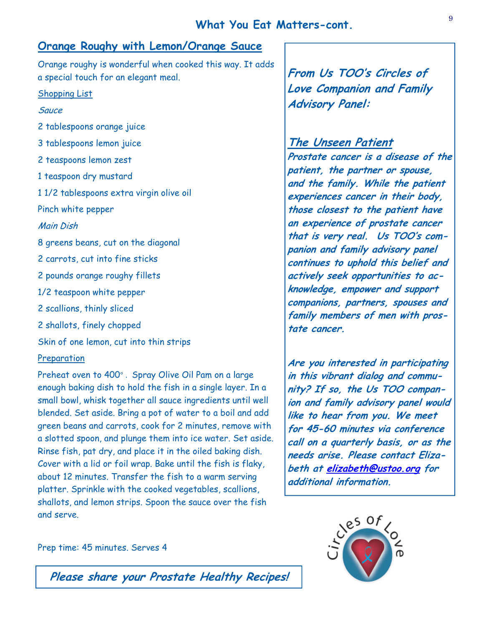#### **Orange Roughy with Lemon/Orange Sauce**

Orange roughy is wonderful when cooked this way. It adds a special touch for an elegant meal.

#### Shopping List

#### **Sauce**

2 tablespoons orange juice 3 tablespoons lemon juice 2 teaspoons lemon zest 1 teaspoon dry mustard 1 1/2 tablespoons extra virgin olive oil Pinch white pepper Main Dish 8 greens beans, cut on the diagonal 2 carrots, cut into fine sticks 2 pounds orange roughy fillets 1/2 teaspoon white pepper 2 scallions, thinly sliced 2 shallots, finely chopped Skin of one lemon, cut into thin strips Preparation

Preheat oven to 400° . Spray Olive Oil Pam on a large enough baking dish to hold the fish in a single layer. In a small bowl, whisk together all sauce ingredients until well blended. Set aside. Bring a pot of water to a boil and add green beans and carrots, cook for 2 minutes, remove with a slotted spoon, and plunge them into ice water. Set aside. Rinse fish, pat dry, and place it in the oiled baking dish. Cover with a lid or foil wrap. Bake until the fish is flaky, about 12 minutes. Transfer the fish to a warm serving platter. Sprinkle with the cooked vegetables, scallions, shallots, and lemon strips. Spoon the sauce over the fish and serve.

**From Us TOO's Circles of Love Companion and Family Advisory Panel:** 

#### **The Unseen Patient**

**Prostate cancer is a disease of the patient, the partner or spouse, and the family. While the patient experiences cancer in their body, those closest to the patient have an experience of prostate cancer that is very real. Us TOO's companion and family advisory panel continues to uphold this belief and actively seek opportunities to acknowledge, empower and support companions, partners, spouses and family members of men with prostate cancer.**

**Are you interested in participating in this vibrant dialog and community? If so, the Us TOO companion and family advisory panel would like to hear from you. We meet for 45-60 minutes via conference call on a quarterly basis, or as the needs arise. Please contact Elizabeth at elizabeth@ustoo.org for additional information.**



Prep time: 45 minutes. Serves 4

**Please share your Prostate Healthy Recipes!**